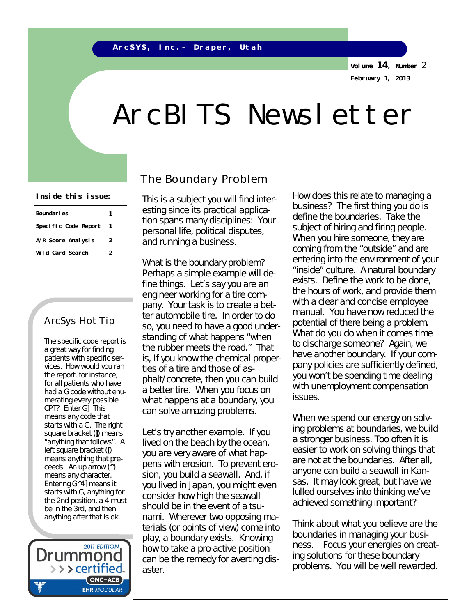**Volume 14, Number** 2 **February 1, 2013**

# ArcBITS Newsletter

| Boundaries           |   |  |
|----------------------|---|--|
| Specific Code Report |   |  |
| A/R Score Analysis   | 2 |  |
| Wild Card Search     | 2 |  |

### ArcSys Hot Tip

The specific code report is a great way for finding patients with specific services. How would you ran the report, for instance, for all patients who have had a G code without enumerating every possible CPT? Enter G] This means any code that starts with a G. The right square bracket (**]**) means "anything that follows". A left square bracket (**[**) means anything that preceeds. An up arrow (**^**) means any character. Entering G^4] means it starts with G, anything for the 2nd position, a 4 must be in the 3rd, and then anything after that is ok.

2011 EDITION Drummor > > > certified..  $(ONC-ACB)$ **EHR MODULAR** 

### The Boundary Problem

This is a subject you will find interesting since its practical application spans many disciplines: Your personal life, political disputes, and running a business.

What is the boundary problem? Perhaps a simple example will define things. Let's say you are an engineer working for a tire company. Your task is to create a better automobile tire. In order to do so, you need to have a good understanding of what happens "when the rubber meets the road." That is, If you know the chemical properties of a tire and those of asphalt/concrete, then you can build a better tire. *When you focus on what happens at a boundary*, you can solve amazing problems.

Let's try another example. If you lived on the beach by the ocean, you are very aware of what happens with erosion. To prevent erosion, you build a seawall. And, if you lived in Japan, you might even consider how high the seawall should be in the event of a tsunami. Wherever two opposing materials (or points of view) come into play, a boundary exists. Knowing how to take a pro-active position can be the remedy for averting disaster.

Inside this issue: This is a subject you will find inter. How does this relate to managing a business? The first thing you do is define the boundaries. Take the subject of hiring and firing people. When you hire someone, they are coming from the "outside" and are entering into the environment of your "inside" culture. A natural boundary exists. Define the work to be done, the hours of work, and provide them with a clear and concise employee manual. You have now reduced the potential of there being a problem. What do you do when it comes time to discharge someone? Again, we have another boundary. If your company policies are sufficiently defined, you won't be spending time dealing with unemployment compensation issues.

> When we spend our energy on solving problems at boundaries, we build a stronger business. Too often it is easier to work on solving things that are not at the boundaries. After all, anyone can build a seawall in Kansas. It may look great, but have we lulled ourselves into thinking we've achieved something important?

> Think about what *you* believe are the boundaries in managing *your* business. Focus your energies on creating solutions for these boundary problems. You will be well rewarded.